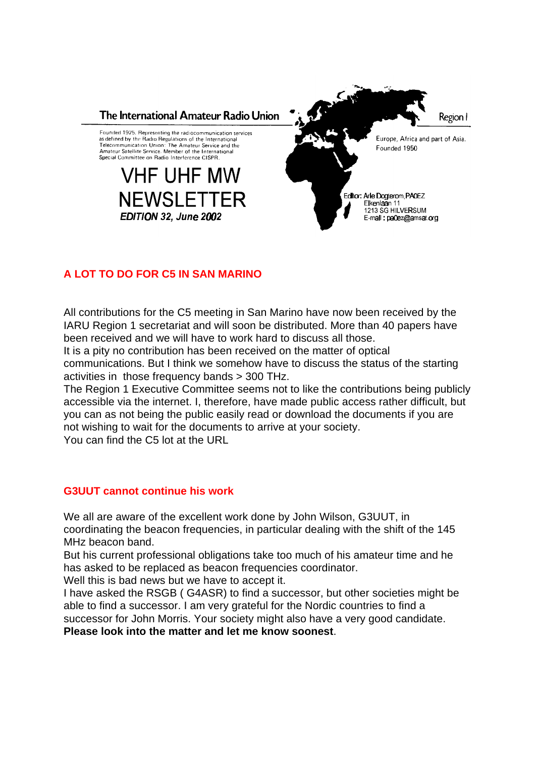

## **A LOT TO DO FOR C5 IN SAN MARINO**

All contributions for the C5 meeting in San Marino have now been received by the IARU Region 1 secretariat and will soon be distributed. More than 40 papers have been received and we will have to work hard to discuss all those.

It is a pity no contribution has been received on the matter of optical

communications. But I think we somehow have to discuss the status of the starting activities in those frequency bands > 300 THz.

The Region 1 Executive Committee seems not to like the contributions being publicly accessible via the internet. I, therefore, have made public access rather difficult, but you can as not being the public easily read or download the documents if you are not wishing to wait for the documents to arrive at your society.

You can find the C5 lot at the URL

## **G3UUT cannot continue his work**

We all are aware of the excellent work done by John Wilson, G3UUT, in coordinating the beacon frequencies, in particular dealing with the shift of the 145 MHz beacon band.

But his current professional obligations take too much of his amateur time and he has asked to be replaced as beacon frequencies coordinator.

Well this is bad news but we have to accept it.

I have asked the RSGB ( G4ASR) to find a successor, but other societies might be able to find a successor. I am very grateful for the Nordic countries to find a successor for John Morris. Your society might also have a very good candidate. **Please look into the matter and let me know soonest**.